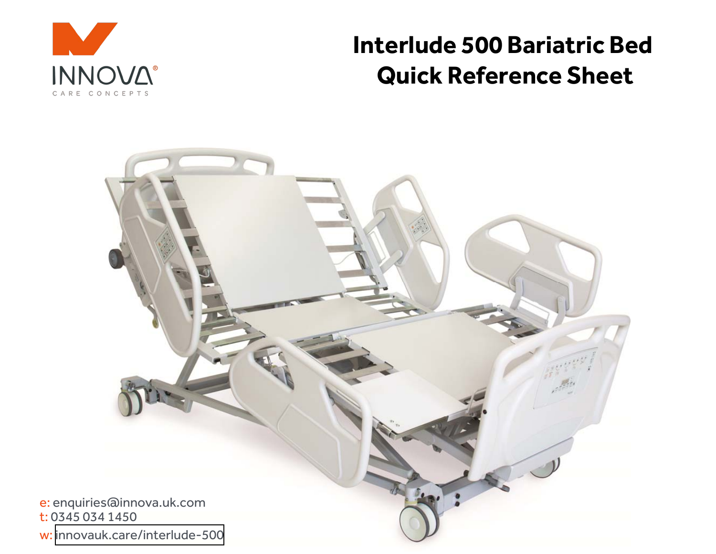

# **Interlude 500 Bariatric BedQuick Reference Sheet**

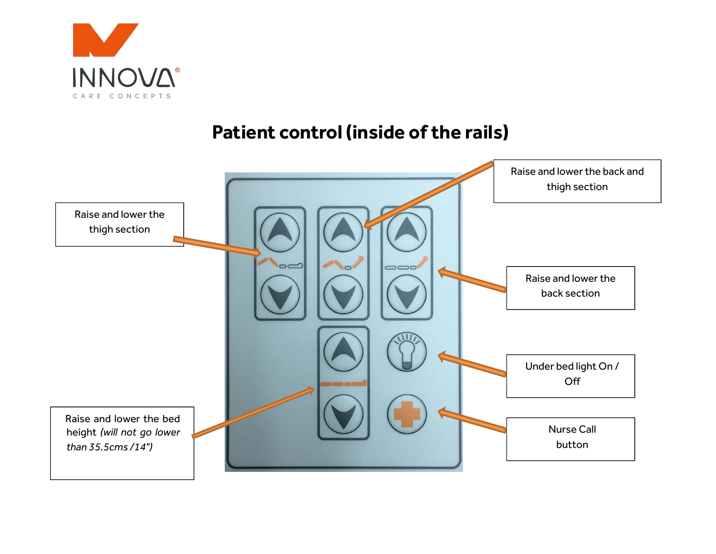

# **Patient control (inside of the rails)**

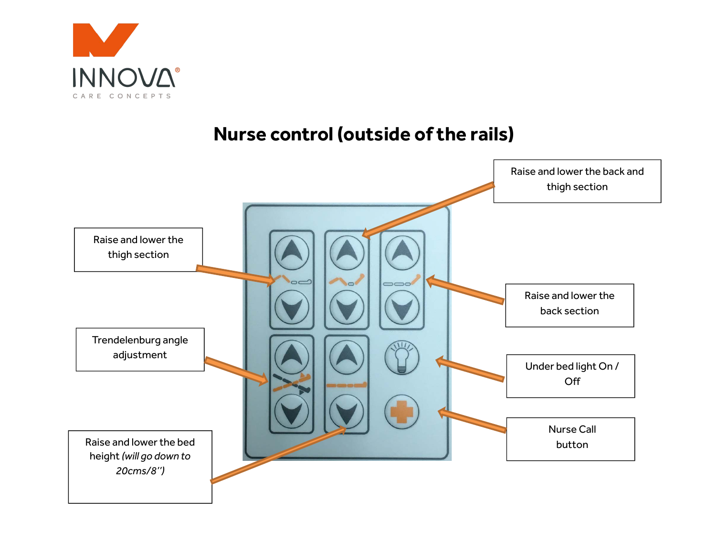

# **Nurse control (outside of the rails)**

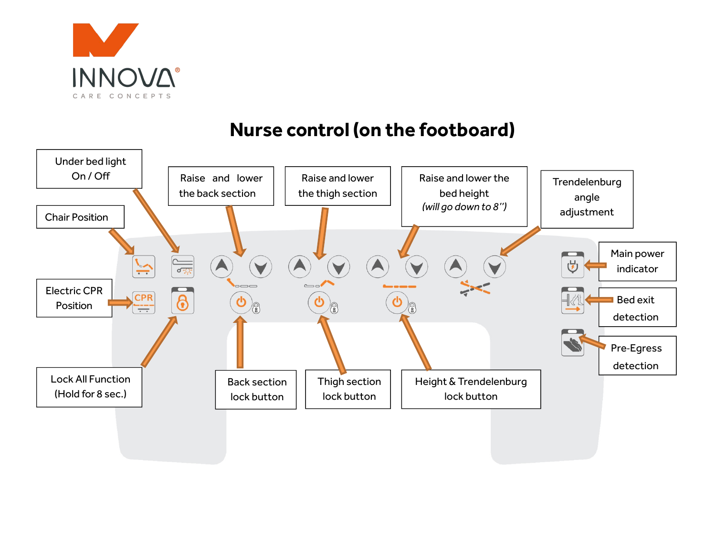

# **Nurse control (on the footboard)**

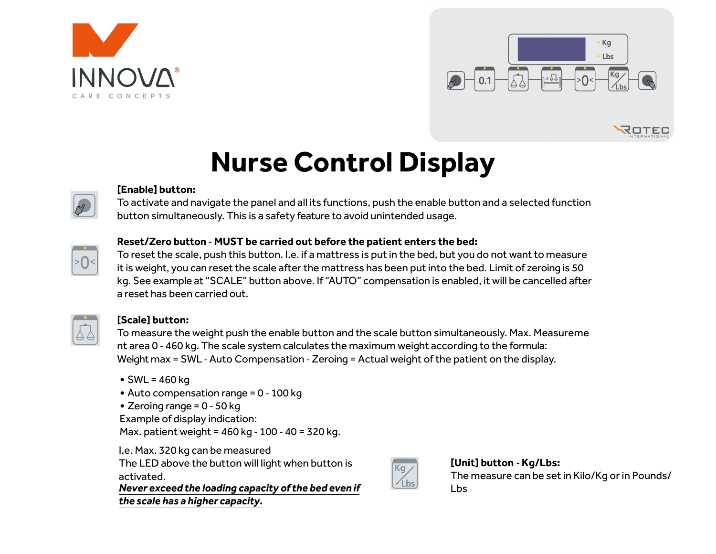



ROTEC

# **Nurse Control Display**



## **[Enable] button:**

 To activate and navigate the panel and all its functions, push the enable button and a selected function button simultaneously. This is a safety feature to avoid unintended usage.



## **Reset/Zero button ‐ MUST be carried out before the patient enters the bed:**

To reset the scale, push this button. I.e. if a mattress is put in the bed, but you do not want to measure it is weight, you can reset the scale after the mattress has been put into the bed. Limit of zeroing is 50 kg. See example at "SCALE" button above. If "AUTO" compensation is enabled, it will be cancelled after a reset has been carried out.



## **[Scale] button:**

To measure the weight push the enable button and the scale button simultaneously. Max. Measurement area 0 ‐ 460 kg. The scale system calculates the maximum weight according to the formula: Weight max = SWL ‐ Auto Compensation ‐ Zeroing = Actual weight of the patient on the display.

- SWL = 460 kg
- Auto compensation range = 0 ‐ 100 kg
- Zeroing range = 0 ‐ 50 kg

Example of display indication:

Max. patient weight = 460 kg ‐ <sup>100</sup> ‐ 40 = 320 kg.

I.e. Max. 320 kg can be measured The LED above the button will light when button is activated.

 *Never exceed the loading capacity of the bed even if the scale has a higher capacity.*



## **[Unit] button ‐ Kg/Lbs:** The measure can be set in Kilo/Kg or in Pounds/Lbs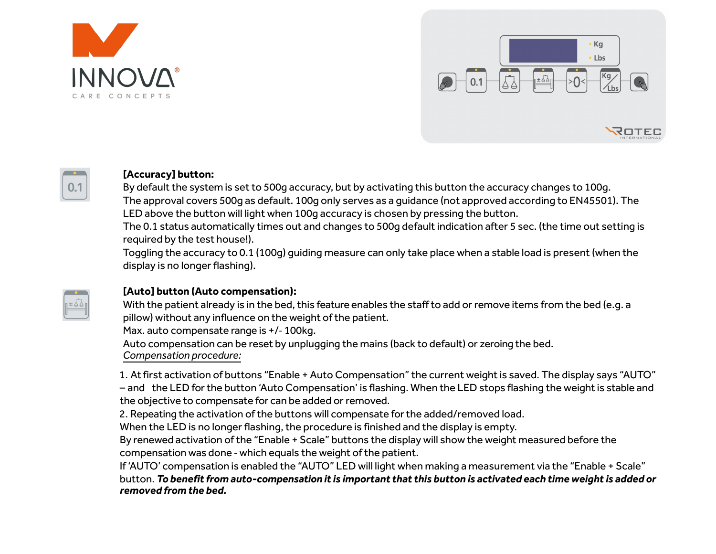



#### **[Accuracy] button:**

 By default the system is set to 500g accuracy, but by activating this button the accuracy changes to 100g.The approval covers 500g as default. 100g only serves as a guidance (not approved according to EN45501). The LED above the button will light when 100g accuracy is chosen by pressing the button.

The 0.1 status automatically times out and changes to 500g default indication after 5 sec. (the time out setting is required by the test house!).

Toggling the accuracy to 0.1 (100g) guiding measure can only take place when a stable load is present (when the display is no longer flashing).



**DOM:**  $0.1$ 

### **[Auto] button (Auto compensation):**

With the patient already is in the bed, this feature enables the staff to add or remove items from the bed (e.g. a pillow) without any influence on the weight of the patient.

Max. auto compensate range is +/‐ 100kg.

Auto compensation can be reset by unplugging the mains (back to default) or zeroing the bed.*Compensation procedure:*

1. At first activation of buttons "Enable + Auto Compensation" the current weight is saved. The display says "AUTO" –- and the LED for the button 'Auto Compensation' is flashing. When the LED stops flashing the weight is stable and the objective to compensate for can be added or removed.

2. Repeating the activation of the buttons will compensate for the added/removed load.

When the LED is no longer flashing, the procedure is finished and the display is empty.

By renewed activation of the "Enable + Scale" buttons the display will show the weight measured before the compensation was done ‐ which equals the weight of the patient.

If 'AUTO' compensation is enabled the "AUTO" LED will light when making a measurement via the "Enable + Scale" button. *To benefit from auto‐compensation it is important that this button is activated each time weight is added or removed from the bed.*